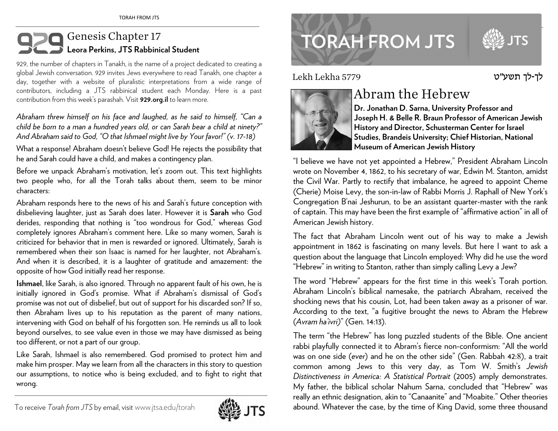## Genesis Chapter 17 **Leora Perkins, JTS Rabbinical Student**

929, the number of chapters in Tanakh, is the name of a project dedicated to creating a <sup>g</sup>lobal Jewish conversation. 929 invites Jews everywhere to read Tanakh, one chapter a day, together with a website of pluralistic interpretations from a wide range of contributors, including a JTS rabbinical student each Monday. Here is a past contribution from this week's parashah. Visit **929.org.il** to learn more.

*Abraham threw himself on his face and laughed, as he said to himself, "Can a child be born to a man a hundred years old, or can Sarah bear a child at ninety?" And Abraham said to God, "O that Ishmael might live by Your favor!" (v. 17-18)*

What a response! Abraham doesn't believe God! He rejects the possibility that he and Sarah could have a child, and makes a contingency plan.

Before we unpack Abraham's motivation, let's zoom out. This text highlights two people who, for all the Torah talks about them, seem to be minor characters:

Abraham responds here to the news of his and Sarah's future conception with disbelieving laughter, just as Sarah does later. However it is **Sarah** who God derides, responding that nothing is "too wondrous for God," whereas God completely ignores Abraham's comment here. Like so many women, Sarah is criticized for behavior that in men is rewarded or ignored. Ultimately, Sarah is remembered when their son Isaac is named for her laughter, not Abraham's. And when it is described, it is a laughter of gratitude and amazement: the opposite of how God initially read her response.

**Ishmael**, like Sarah, is also ignored. Through no apparent fault of his own, he is initially ignored in God's promise. What if Abraham's dismissal of God's promise was not out of disbelief, but out of support for his discarded son? If so, then Abraham lives up to his reputation as the parent of many nations, intervening with God on behalf of his forgotten son. He reminds us all to look beyond ourselves, to see value even in those we may have dismissed as being too different, or not a part of our group.

Like Sarah, Ishmael is also remembered. God promised to protect him and make him prosper. May we learn from all the characters in this story to question our assumptions, to notice who is being excluded, and to fight to right that wrong.



www.jtsa.edu/torah international contractors and the contractors of the contractors of the contractors of the contractors of the contractors of the contractors of the contractors of the contractors of the contractors of th **TORAH FROM JTS** 

Lekh Lekha 5779



## Abram the Hebrew

**Dr. Jonathan D. Sarna, University Professor and Joseph H. & Belle R. Braun Professor of American Jewish History and Director, Schusterman Center for Israel Studies, Brandeis University; Chief Historian, National Museum of American Jewish History** 

"I believe we have not yet appointed a Hebrew," President Abraham Lincoln wrote on November 4, 1862, to his secretary of war, Edwin M. Stanton, amidst the Civil War. Partly to rectify that imbalance, he agreed to appoint Cheme (Cherie) Moise Levy, the son-in-law of Rabbi Morris J. Raphall of New York's Congregation B'nai Jeshurun, to be an assistant quarter-master with the rank of captain. This may have been the first example of "affirmative action" in all of American Jewish history.

The fact that Abraham Lincoln went out of his way to make a Jewish appointment in 1862 is fascinating on many levels. But here I want to ask a question about the language that Lincoln employed: Why did he use the word "Hebrew" in writing to Stanton, rather than simply calling Levy a Jew?

The word "Hebrew" appears for the first time in this week's Torah portion. Abraham Lincoln's biblical namesake, the patriarch Abraham, received the shocking news that his cousin, Lot, had been taken away as a prisoner of war. According to the text, "a fugitive brought the news to Abram the Hebrew (*Avram ha'ivri)*" (Gen. 14:13).

The term "the Hebrew" has long puzzled students of the Bible. One ancient rabbi playfully connected it to Abram's fierce non-conformism: "All the world was on one side (*ever*) and he on the other side" (Gen. Rabbah 42: 8), a trait common among Jews to this very day, as Tom W. Smith's *Jewish Distinctiveness in America: A Statistical Portrait* (2005) amply demonstrates. My father, the biblical scholar Nahum Sarna, concluded that "Hebrew" was really an ethnic designation, akin to "Canaanite" and "Moabite." Other theories abound. Whatever the case, by the time of King David, some three thousand

לך-לך תשע"<sup>ט</sup>